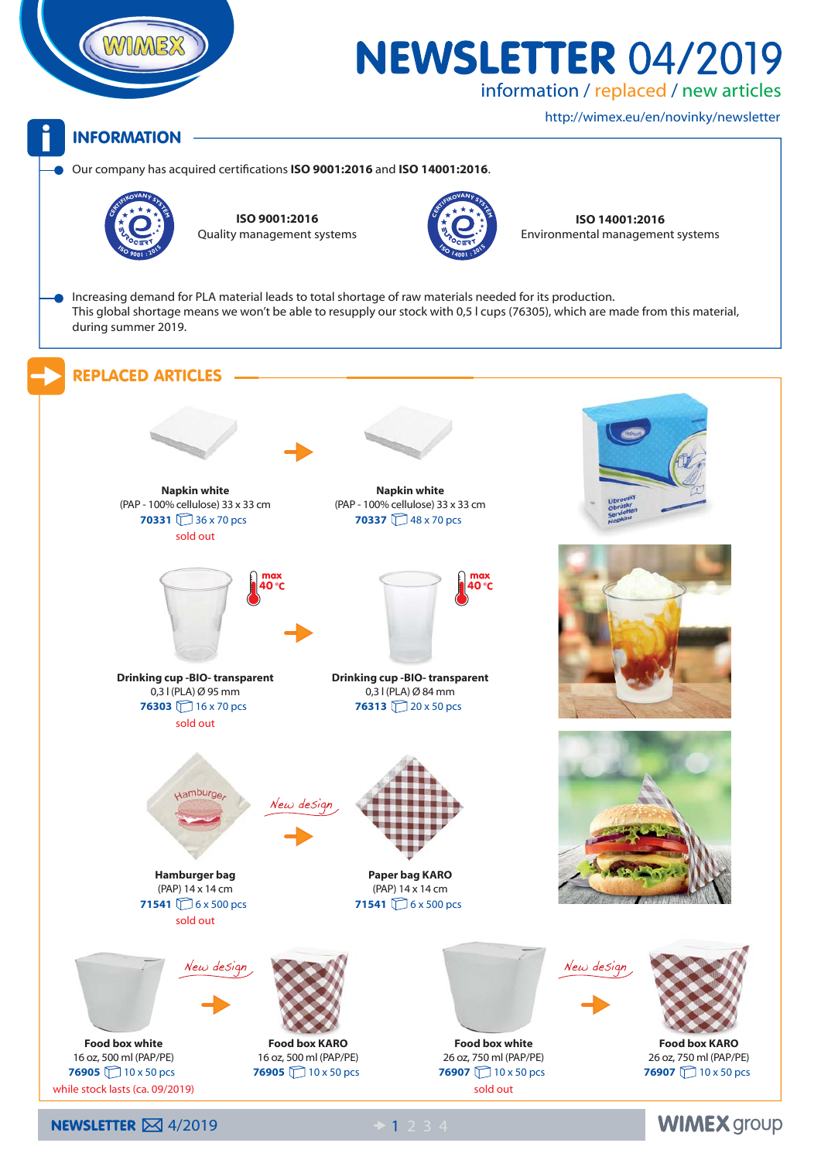

# **NEWSLETTER 04/2019**

information / replaced / new articles

http://wimex.eu/en/novinky/newsletter

**WIMEX group** 

#### **INFORMATION**

Our company has acquired certifications **ISO 9001:2016** and **ISO 14001:2016**.



**ISO 9001:2016** Quality management systems



**ISO 14001:2016**<br>Environmental management<br>Apple 2014 Environmental management systems

Increasing demand for PLA material leads to total shortage of raw materials needed for its production. This global shortage means we won't be able to resupply our stock with 0,5 l cups (76305), which are made from this material, during summer 2019.

#### REPLACED ARTICLES



**NEWSLETTER**  $\boxtimes$  4/2019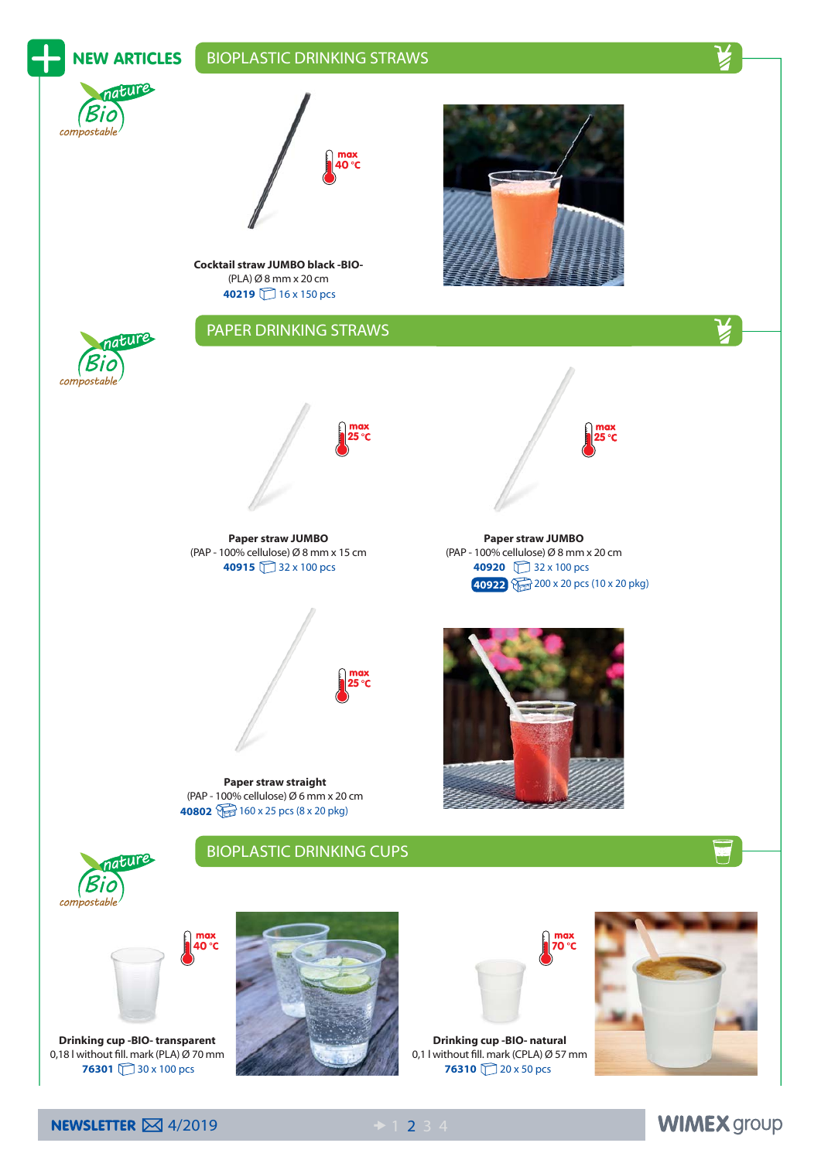

**NEWSLETTER**  $\boxtimes$  4/2019

**WIMEX group**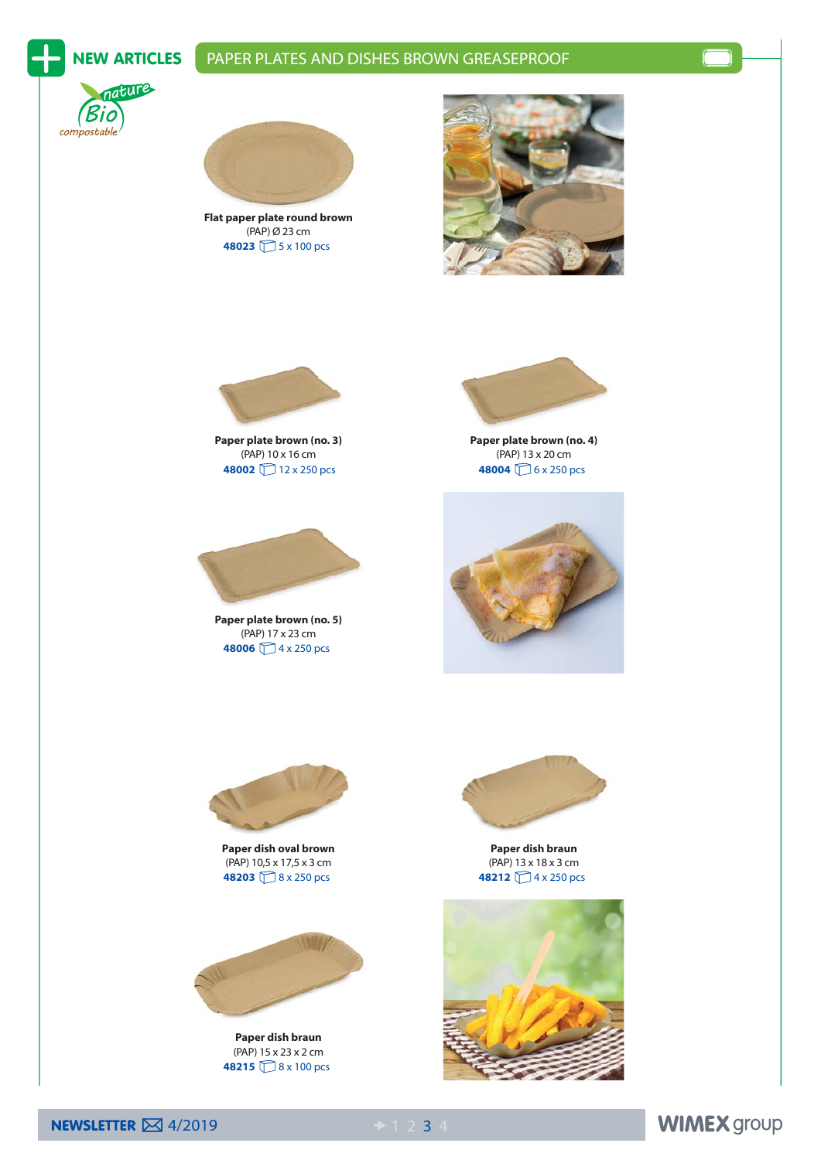## NEW ARTICLES | PAPER PLATES AND DISHES BROWN GREASEPROOF





 (PAP) Ø 23 cm  **Flat paper plate round brown 48023** 5 x 100 pcs





 (PAP) 10 x 16 cm  **Paper plate brown (no. 3) 48002** 12 x 250 pcs



 (PAP) 17 x 23 cm  **Paper plate brown (no. 5) 48006** 4 x 250 pcs



 (PAP) 13 x 20 cm  **Paper plate brown (no. 4) 48004** 6 x 250 pcs





 (PAP) 10,5 x 17,5 x 3 cm  **Paper dish oval brown 48203** 8 x 250 pcs



 (PAP) 15 x 23 x 2 cm  **Paper dish braun 48215** 8 x 100 pcs



 (PAP) 13 x 18 x 3 cm  **Paper dish braun 48212** 4 x 250 pcs





### **WIMEX group**